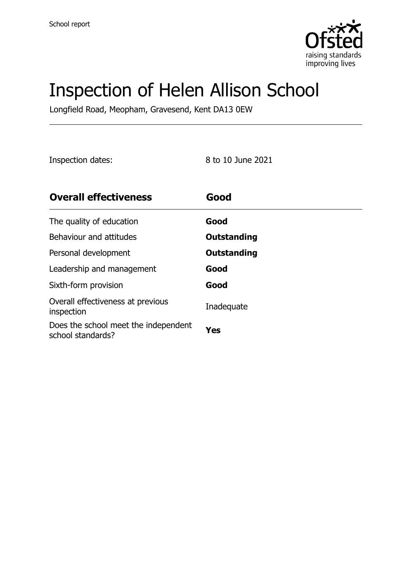

# Inspection of Helen Allison School

Longfield Road, Meopham, Gravesend, Kent DA13 0EW

Inspection dates: 8 to 10 June 2021

| <b>Overall effectiveness</b>                              | Good        |
|-----------------------------------------------------------|-------------|
| The quality of education                                  | Good        |
| Behaviour and attitudes                                   | Outstanding |
| Personal development                                      | Outstanding |
| Leadership and management                                 | Good        |
| Sixth-form provision                                      | Good        |
| Overall effectiveness at previous<br>inspection           | Inadequate  |
| Does the school meet the independent<br>school standards? | <b>Yes</b>  |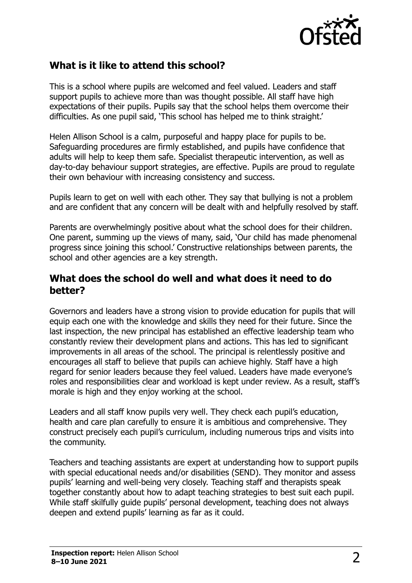

### **What is it like to attend this school?**

This is a school where pupils are welcomed and feel valued. Leaders and staff support pupils to achieve more than was thought possible. All staff have high expectations of their pupils. Pupils say that the school helps them overcome their difficulties. As one pupil said, 'This school has helped me to think straight.'

Helen Allison School is a calm, purposeful and happy place for pupils to be. Safeguarding procedures are firmly established, and pupils have confidence that adults will help to keep them safe. Specialist therapeutic intervention, as well as day-to-day behaviour support strategies, are effective. Pupils are proud to regulate their own behaviour with increasing consistency and success.

Pupils learn to get on well with each other. They say that bullying is not a problem and are confident that any concern will be dealt with and helpfully resolved by staff.

Parents are overwhelmingly positive about what the school does for their children. One parent, summing up the views of many, said, 'Our child has made phenomenal progress since joining this school.' Constructive relationships between parents, the school and other agencies are a key strength.

#### **What does the school do well and what does it need to do better?**

Governors and leaders have a strong vision to provide education for pupils that will equip each one with the knowledge and skills they need for their future. Since the last inspection, the new principal has established an effective leadership team who constantly review their development plans and actions. This has led to significant improvements in all areas of the school. The principal is relentlessly positive and encourages all staff to believe that pupils can achieve highly. Staff have a high regard for senior leaders because they feel valued. Leaders have made everyone's roles and responsibilities clear and workload is kept under review. As a result, staff's morale is high and they enjoy working at the school.

Leaders and all staff know pupils very well. They check each pupil's education. health and care plan carefully to ensure it is ambitious and comprehensive. They construct precisely each pupil's curriculum, including numerous trips and visits into the community.

Teachers and teaching assistants are expert at understanding how to support pupils with special educational needs and/or disabilities (SEND). They monitor and assess pupils' learning and well-being very closely. Teaching staff and therapists speak together constantly about how to adapt teaching strategies to best suit each pupil. While staff skilfully guide pupils' personal development, teaching does not always deepen and extend pupils' learning as far as it could.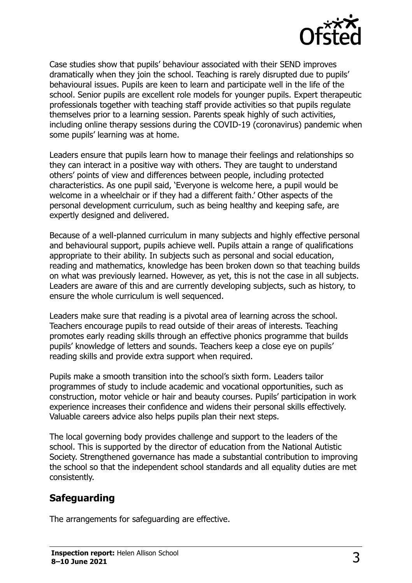

Case studies show that pupils' behaviour associated with their SEND improves dramatically when they join the school. Teaching is rarely disrupted due to pupils' behavioural issues. Pupils are keen to learn and participate well in the life of the school. Senior pupils are excellent role models for younger pupils. Expert therapeutic professionals together with teaching staff provide activities so that pupils regulate themselves prior to a learning session. Parents speak highly of such activities, including online therapy sessions during the COVID-19 (coronavirus) pandemic when some pupils' learning was at home.

Leaders ensure that pupils learn how to manage their feelings and relationships so they can interact in a positive way with others. They are taught to understand others' points of view and differences between people, including protected characteristics. As one pupil said, 'Everyone is welcome here, a pupil would be welcome in a wheelchair or if they had a different faith.' Other aspects of the personal development curriculum, such as being healthy and keeping safe, are expertly designed and delivered.

Because of a well-planned curriculum in many subjects and highly effective personal and behavioural support, pupils achieve well. Pupils attain a range of qualifications appropriate to their ability. In subjects such as personal and social education, reading and mathematics, knowledge has been broken down so that teaching builds on what was previously learned. However, as yet, this is not the case in all subjects. Leaders are aware of this and are currently developing subjects, such as history, to ensure the whole curriculum is well sequenced.

Leaders make sure that reading is a pivotal area of learning across the school. Teachers encourage pupils to read outside of their areas of interests. Teaching promotes early reading skills through an effective phonics programme that builds pupils' knowledge of letters and sounds. Teachers keep a close eye on pupils' reading skills and provide extra support when required.

Pupils make a smooth transition into the school's sixth form. Leaders tailor programmes of study to include academic and vocational opportunities, such as construction, motor vehicle or hair and beauty courses. Pupils' participation in work experience increases their confidence and widens their personal skills effectively. Valuable careers advice also helps pupils plan their next steps.

The local governing body provides challenge and support to the leaders of the school. This is supported by the director of education from the National Autistic Society. Strengthened governance has made a substantial contribution to improving the school so that the independent school standards and all equality duties are met consistently.

### **Safeguarding**

The arrangements for safeguarding are effective.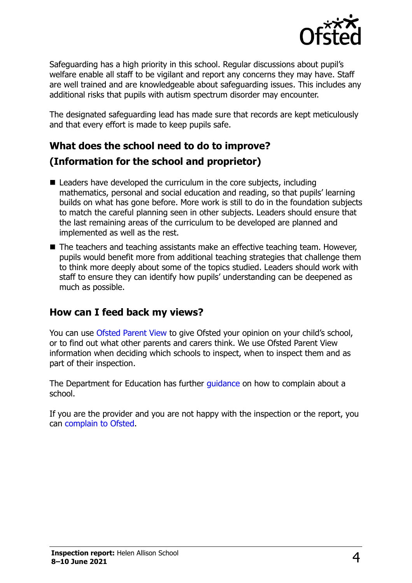

Safeguarding has a high priority in this school. Regular discussions about pupil's welfare enable all staff to be vigilant and report any concerns they may have. Staff are well trained and are knowledgeable about safeguarding issues. This includes any additional risks that pupils with autism spectrum disorder may encounter.

The designated safeguarding lead has made sure that records are kept meticulously and that every effort is made to keep pupils safe.

## **What does the school need to do to improve? (Information for the school and proprietor)**

- Leaders have developed the curriculum in the core subjects, including mathematics, personal and social education and reading, so that pupils' learning builds on what has gone before. More work is still to do in the foundation subjects to match the careful planning seen in other subjects. Leaders should ensure that the last remaining areas of the curriculum to be developed are planned and implemented as well as the rest.
- The teachers and teaching assistants make an effective teaching team. However, pupils would benefit more from additional teaching strategies that challenge them to think more deeply about some of the topics studied. Leaders should work with staff to ensure they can identify how pupils' understanding can be deepened as much as possible.

#### **How can I feed back my views?**

You can use [Ofsted Parent View](http://parentview.ofsted.gov.uk/) to give Ofsted your opinion on your child's school, or to find out what other parents and carers think. We use Ofsted Parent View information when deciding which schools to inspect, when to inspect them and as part of their inspection.

The Department for Education has further [guidance](http://www.gov.uk/complain-about-school) on how to complain about a school.

If you are the provider and you are not happy with the inspection or the report, you can [complain to Ofsted.](http://www.gov.uk/complain-ofsted-report)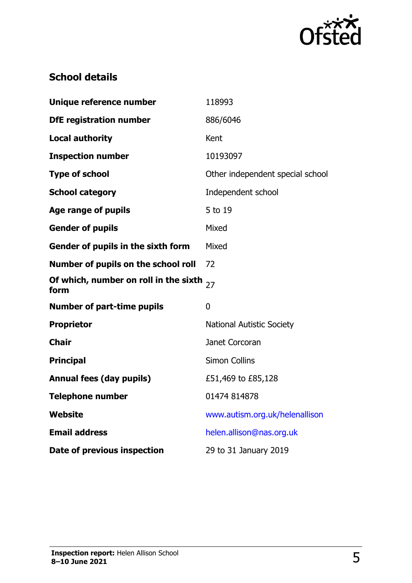

## **School details**

| Unique reference number                       | 118993                           |
|-----------------------------------------------|----------------------------------|
| <b>DfE registration number</b>                | 886/6046                         |
| <b>Local authority</b>                        | Kent                             |
| <b>Inspection number</b>                      | 10193097                         |
| <b>Type of school</b>                         | Other independent special school |
| <b>School category</b>                        | Independent school               |
| Age range of pupils                           | 5 to 19                          |
| <b>Gender of pupils</b>                       | Mixed                            |
| Gender of pupils in the sixth form            | Mixed                            |
| Number of pupils on the school roll           | 72                               |
| Of which, number on roll in the sixth<br>form | 27                               |
| <b>Number of part-time pupils</b>             | $\mathbf{0}$                     |
| <b>Proprietor</b>                             | <b>National Autistic Society</b> |
| <b>Chair</b>                                  | Janet Corcoran                   |
| <b>Principal</b>                              | <b>Simon Collins</b>             |
| <b>Annual fees (day pupils)</b>               | £51,469 to £85,128               |
| <b>Telephone number</b>                       | 01474 814878                     |
| Website                                       | www.autism.org.uk/helenallison   |
| <b>Email address</b>                          | helen.allison@nas.org.uk         |
| Date of previous inspection                   | 29 to 31 January 2019            |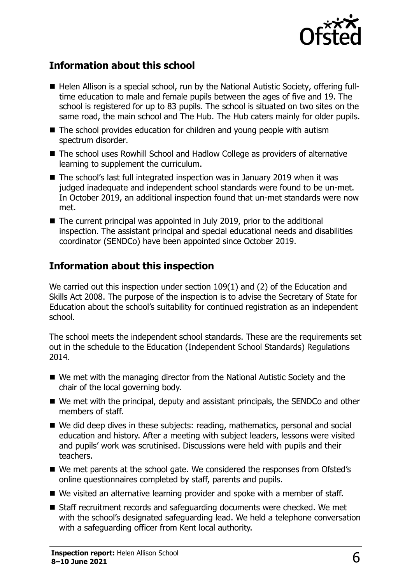

### **Information about this school**

- Helen Allison is a special school, run by the National Autistic Society, offering fulltime education to male and female pupils between the ages of five and 19. The school is registered for up to 83 pupils. The school is situated on two sites on the same road, the main school and The Hub. The Hub caters mainly for older pupils.
- The school provides education for children and young people with autism spectrum disorder.
- The school uses Rowhill School and Hadlow College as providers of alternative learning to supplement the curriculum.
- The school's last full integrated inspection was in January 2019 when it was judged inadequate and independent school standards were found to be un-met. In October 2019, an additional inspection found that un-met standards were now met.
- The current principal was appointed in July 2019, prior to the additional inspection. The assistant principal and special educational needs and disabilities coordinator (SENDCo) have been appointed since October 2019.

### **Information about this inspection**

We carried out this inspection under section 109(1) and (2) of the Education and Skills Act 2008. The purpose of the inspection is to advise the Secretary of State for Education about the school's suitability for continued registration as an independent school.

The school meets the independent school standards. These are the requirements set out in the schedule to the Education (Independent School Standards) Regulations 2014.

- We met with the managing director from the National Autistic Society and the chair of the local governing body.
- We met with the principal, deputy and assistant principals, the SENDCo and other members of staff.
- We did deep dives in these subjects: reading, mathematics, personal and social education and history. After a meeting with subject leaders, lessons were visited and pupils' work was scrutinised. Discussions were held with pupils and their teachers.
- We met parents at the school gate. We considered the responses from Ofsted's online questionnaires completed by staff, parents and pupils.
- We visited an alternative learning provider and spoke with a member of staff.
- Staff recruitment records and safeguarding documents were checked. We met with the school's designated safeguarding lead. We held a telephone conversation with a safeguarding officer from Kent local authority.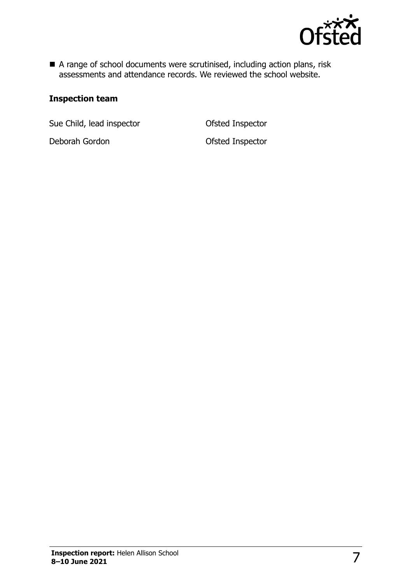

A range of school documents were scrutinised, including action plans, risk assessments and attendance records. We reviewed the school website.

#### **Inspection team**

Sue Child, lead inspector **Calcular Control** Ofsted Inspector

Deborah Gordon **Ofsted Inspector**